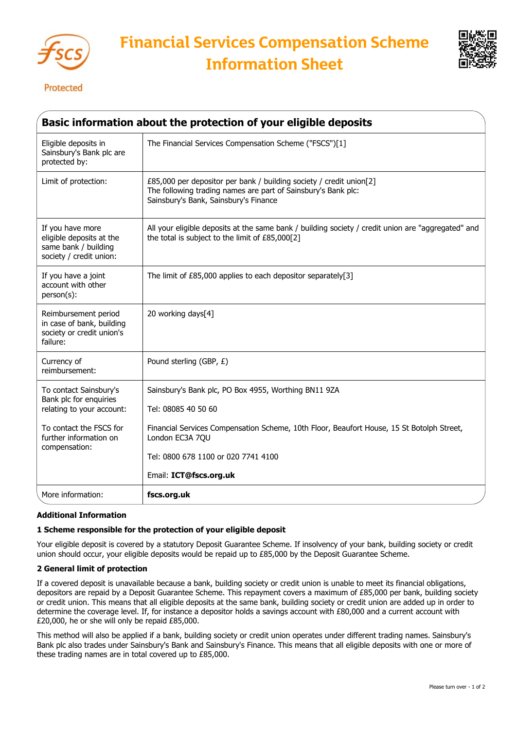



Protected

| Basic information about the protection of your eligible deposits                                                                                    |                                                                                                                                                                                                                                                              |
|-----------------------------------------------------------------------------------------------------------------------------------------------------|--------------------------------------------------------------------------------------------------------------------------------------------------------------------------------------------------------------------------------------------------------------|
| Eligible deposits in<br>Sainsbury's Bank plc are<br>protected by:                                                                                   | The Financial Services Compensation Scheme ("FSCS")[1]                                                                                                                                                                                                       |
| Limit of protection:                                                                                                                                | £85,000 per depositor per bank / building society / credit union[2]<br>The following trading names are part of Sainsbury's Bank plc:<br>Sainsbury's Bank, Sainsbury's Finance                                                                                |
| If you have more<br>eligible deposits at the<br>same bank / building<br>society / credit union:                                                     | All your eligible deposits at the same bank / building society / credit union are "aggregated" and<br>the total is subject to the limit of £85,000[2]                                                                                                        |
| If you have a joint<br>account with other<br>person(s):                                                                                             | The limit of £85,000 applies to each depositor separately[3]                                                                                                                                                                                                 |
| Reimbursement period<br>in case of bank, building<br>society or credit union's<br>failure:                                                          | 20 working days[4]                                                                                                                                                                                                                                           |
| Currency of<br>reimbursement:                                                                                                                       | Pound sterling (GBP, £)                                                                                                                                                                                                                                      |
| To contact Sainsbury's<br>Bank plc for enquiries<br>relating to your account:<br>To contact the FSCS for<br>further information on<br>compensation: | Sainsbury's Bank plc, PO Box 4955, Worthing BN11 9ZA<br>Tel: 08085 40 50 60<br>Financial Services Compensation Scheme, 10th Floor, Beaufort House, 15 St Botolph Street,<br>London EC3A 7QU<br>Tel: 0800 678 1100 or 020 7741 4100<br>Email: ICT@fscs.org.uk |
| More information:                                                                                                                                   | fscs.org.uk                                                                                                                                                                                                                                                  |

## **Additional Information**

## **1 Scheme responsible for the protection of your eligible deposit**

Your eligible deposit is covered by a statutory Deposit Guarantee Scheme. If insolvency of your bank, building society or credit union should occur, your eligible deposits would be repaid up to £85,000 by the Deposit Guarantee Scheme.

## **2 General limit of protection**

If a covered deposit is unavailable because a bank, building society or credit union is unable to meet its financial obligations, depositors are repaid by a Deposit Guarantee Scheme. This repayment covers a maximum of £85,000 per bank, building society or credit union. This means that all eligible deposits at the same bank, building society or credit union are added up in order to determine the coverage level. If, for instance a depositor holds a savings account with £80,000 and a current account with £20,000, he or she will only be repaid £85,000.

This method will also be applied if a bank, building society or credit union operates under different trading names. Sainsbury's Bank plc also trades under Sainsbury's Bank and Sainsbury's Finance. This means that all eligible deposits with one or more of these trading names are in total covered up to £85,000.